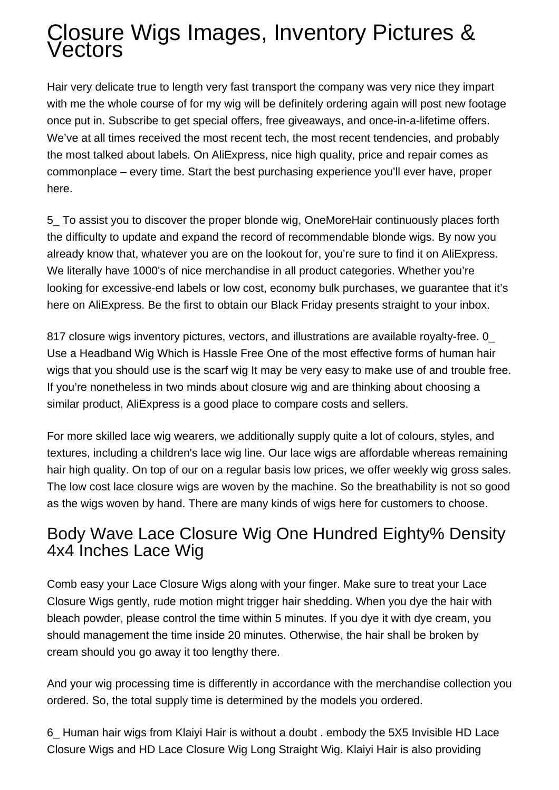## Closure Wigs Images, Inventory Pictures & **Vectors**

Hair very delicate true to length very fast transport the company was very nice they impart with me the whole course of for my wig will be definitely ordering again will post new footage once put in. Subscribe to get special offers, free giveaways, and once-in-a-lifetime offers. We've at all times received the most recent tech, the most recent tendencies, and probably the most talked about labels. On AliExpress, nice high quality, price and repair comes as commonplace – every time. Start the best purchasing experience you'll ever have, proper here.

5\_ To assist you to discover the proper blonde wig, OneMoreHair continuously places forth the difficulty to update and expand the record of recommendable blonde wigs. By now you already know that, whatever you are on the lookout for, you're sure to find it on AliExpress. We literally have 1000's of nice merchandise in all product categories. Whether you're looking for excessive-end labels or low cost, economy bulk purchases, we guarantee that it's here on AliExpress. Be the first to obtain our Black Friday presents straight to your inbox.

817 closure wigs inventory pictures, vectors, and illustrations are available royalty-free. 0\_ Use a Headband Wig Which is Hassle Free One of the most effective forms of human hair wigs that you should use is the scarf wig It may be very easy to make use of and trouble free. If you're nonetheless in two minds about closure wig and are thinking about choosing a similar product, AliExpress is a good place to compare costs and sellers.

For more skilled lace wig wearers, we additionally supply quite a lot of colours, styles, and textures, including a children's lace wig line. Our lace wigs are affordable whereas remaining hair high quality. On top of our on a regular basis low prices, we offer weekly wig gross sales. The low cost lace closure wigs are woven by the machine. So the breathability is not so good as the wigs woven by hand. There are many kinds of wigs here for customers to choose.

## Body Wave Lace Closure Wig One Hundred Eighty% Density 4x4 Inches Lace Wig

Comb easy your Lace Closure Wigs along with your finger. Make sure to treat your Lace Closure Wigs gently, rude motion might trigger hair shedding. When you dye the hair with bleach powder, please control the time within 5 minutes. If you dye it with dye cream, you should management the time inside 20 minutes. Otherwise, the hair shall be broken by cream should you go away it too lengthy there.

And your wig processing time is differently in accordance with the merchandise collection you ordered. So, the total supply time is determined by the models you ordered.

6\_ Human hair wigs from Klaiyi Hair is without a doubt . embody the 5X5 Invisible HD Lace Closure Wigs and HD Lace Closure Wig Long Straight Wig. Klaiyi Hair is also providing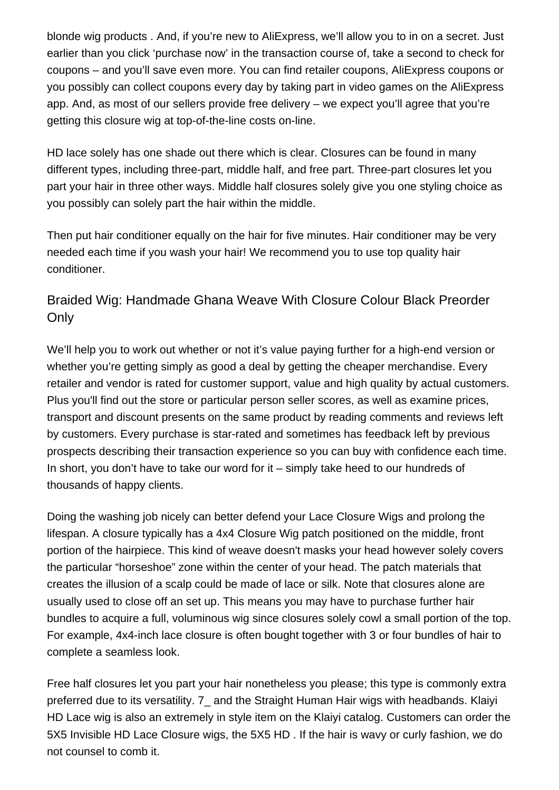blonde wig products . And, if you're new to AliExpress, we'll allow you to in on a secret. Just earlier than you click 'purchase now' in the transaction course of, take a second to check for coupons – and you'll save even more. You can find retailer coupons, AliExpress coupons or you possibly can collect coupons every day by taking part in video games on the AliExpress app. And, as most of our sellers provide free delivery – we expect you'll agree that you're getting this closure wig at top-of-the-line costs on-line.

HD lace solely has one shade out there which is clear. Closures can be found in many different types, including three-part, middle half, and free part. Three-part closures let you part your hair in three other ways. Middle half closures solely give you one styling choice as you possibly can solely part the hair within the middle.

Then put hair conditioner equally on the hair for five minutes. Hair conditioner may be very needed each time if you wash your hair! We recommend you to use top quality hair conditioner.

## Braided Wig: Handmade Ghana Weave With Closure Colour Black Preorder **Only**

We'll help you to work out whether or not it's value paying further for a high-end version or whether you're getting simply as good a deal by getting the cheaper merchandise. Every retailer and vendor is rated for customer support, value and high quality by actual customers. Plus you'll find out the store or particular person seller scores, as well as examine prices, transport and discount presents on the same product by reading comments and reviews left by customers. Every purchase is star-rated and sometimes has feedback left by previous prospects describing their transaction experience so you can buy with confidence each time. In short, you don't have to take our word for it – simply take heed to our hundreds of thousands of happy clients.

Doing the washing job nicely can better defend your Lace Closure Wigs and prolong the lifespan. A closure typically has a 4x4 Closure Wig patch positioned on the middle, front portion of the hairpiece. This kind of weave doesn't masks your head however solely covers the particular "horseshoe" zone within the center of your head. The patch materials that creates the illusion of a scalp could be made of lace or silk. Note that closures alone are usually used to close off an set up. This means you may have to purchase further hair bundles to acquire a full, voluminous wig since closures solely cowl a small portion of the top. For example, 4x4-inch lace closure is often bought together with 3 or four bundles of hair to complete a seamless look.

Free half closures let you part your hair nonetheless you please; this type is commonly extra preferred due to its versatility. 7\_ and the Straight Human Hair wigs with headbands. Klaiyi HD Lace wig is also an extremely in style item on the Klaiyi catalog. Customers can order the 5X5 Invisible HD Lace Closure wigs, the 5X5 HD . If the hair is wavy or curly fashion, we do not counsel to comb it.